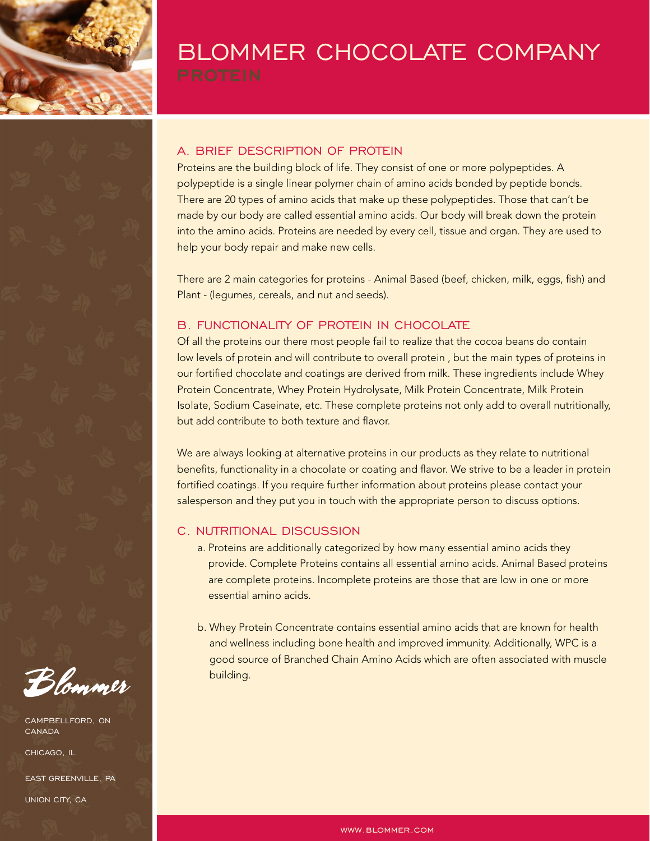

# BLOMMER CHOCOLATE COMPANY

# A. BRIEF DESCRIPTION OF PROTEIN

Proteins are the building block of life. They consist of one or more polypeptides. A polypeptide is a single linear polymer chain of amino acids bonded by peptide bonds. There are 20 types of amino acids that make up these polypeptides. Those that can't be made by our body are called essential amino acids. Our body will break down the protein into the amino acids. Proteins are needed by every cell, tissue and organ. They are used to help your body repair and make new cells.

There are 2 main categories for proteins - Animal Based (beef, chicken, milk, eggs, fish) and Plant - (legumes, cereals, and nut and seeds).

# B. FUNCTIONALITY OF PROTEIN IN CHOCOLATE

Of all the proteins our there most people fail to realize that the cocoa beans do contain low levels of protein and will contribute to overall protein, but the main types of proteins in our fortified chocolate and coatings are derived from milk. These ingredients include Whey Protein Concentrate, Whey Protein Hydrolysate, Milk Protein Concentrate, Milk Protein Isolate, Sodium Caseinate, etc. These complete proteins not only add to overall nutritionally, but add contribute to both texture and flavor.

We are always looking at alternative proteins in our products as they relate to nutritional benefits, functionality in a chocolate or coating and flavor. We strive to be a leader in protein fortified coatings. If you require further information about proteins please contact your salesperson and they put you in touch with the appropriate person to discuss options.

#### C. NUTRITIONAL DISCUSSION

- a. Proteins are additionally categorized by how many essential amino acids they provide. Complete Proteins contains all essential amino acids. Animal Based proteins are complete proteins. Incomplete proteins are those that are low in one or more essential amino acids.
- b. Whey Protein Concentrate contains essential amino acids that are known for health and wellness including bone health and improved immunity. Additionally, WPC is a good source of Branched Chain Amino Acids which are often associated with muscle building.

Blommer

CAMPBELLFORD, ON CANADA

CHICAGO, IL

EAST GREENVILLE, PA UNION CITY, CA